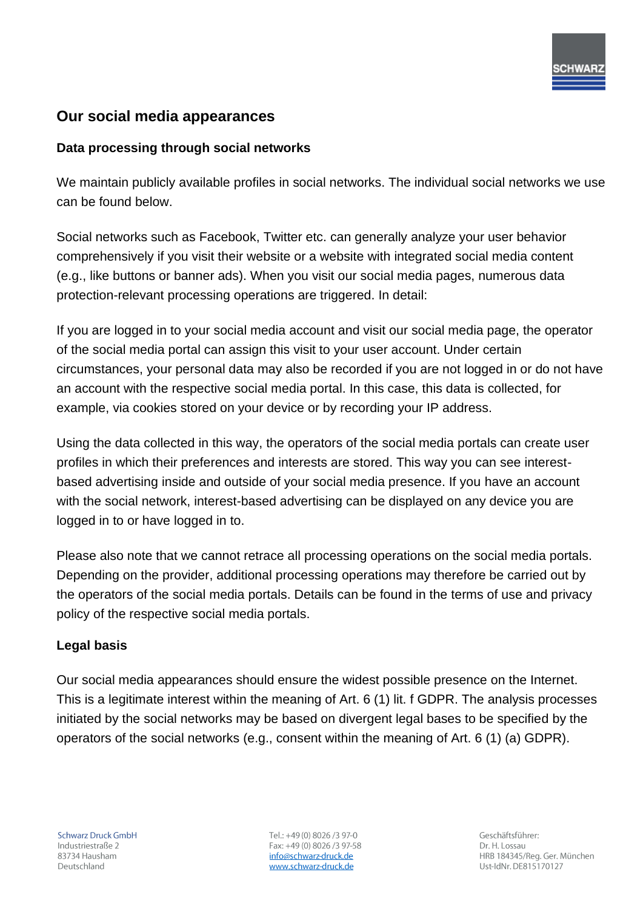# **Our social media appearances**

## **Data processing through social networks**

We maintain publicly available profiles in social networks. The individual social networks we use can be found below.

Social networks such as Facebook, Twitter etc. can generally analyze your user behavior comprehensively if you visit their website or a website with integrated social media content (e.g., like buttons or banner ads). When you visit our social media pages, numerous data protection-relevant processing operations are triggered. In detail:

If you are logged in to your social media account and visit our social media page, the operator of the social media portal can assign this visit to your user account. Under certain circumstances, your personal data may also be recorded if you are not logged in or do not have an account with the respective social media portal. In this case, this data is collected, for example, via cookies stored on your device or by recording your IP address.

Using the data collected in this way, the operators of the social media portals can create user profiles in which their preferences and interests are stored. This way you can see interestbased advertising inside and outside of your social media presence. If you have an account with the social network, interest-based advertising can be displayed on any device you are logged in to or have logged in to.

Please also note that we cannot retrace all processing operations on the social media portals. Depending on the provider, additional processing operations may therefore be carried out by the operators of the social media portals. Details can be found in the terms of use and privacy policy of the respective social media portals.

#### **Legal basis**

Our social media appearances should ensure the widest possible presence on the Internet. This is a legitimate interest within the meaning of Art. 6 (1) lit. f GDPR. The analysis processes initiated by the social networks may be based on divergent legal bases to be specified by the operators of the social networks (e.g., consent within the meaning of Art. 6 (1) (a) GDPR).

Tel.: +49 (0) 8026 /3 97-0 Fax: +49 (0) 8026 /3 97-58 info@schwarz-druck.de www.schwarz-druck.de